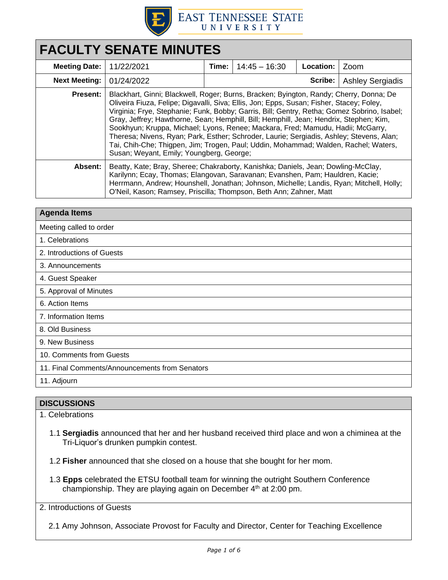

| <b>FACULTY SENATE MINUTES</b> |                                                                                                                                                                                                                                                                                                                                                                                                                                                                                                                                                                                                                                                                                               |       |                 |           |                         |  |
|-------------------------------|-----------------------------------------------------------------------------------------------------------------------------------------------------------------------------------------------------------------------------------------------------------------------------------------------------------------------------------------------------------------------------------------------------------------------------------------------------------------------------------------------------------------------------------------------------------------------------------------------------------------------------------------------------------------------------------------------|-------|-----------------|-----------|-------------------------|--|
| <b>Meeting Date:</b>          | 11/22/2021                                                                                                                                                                                                                                                                                                                                                                                                                                                                                                                                                                                                                                                                                    | Time: | $14:45 - 16:30$ | Location: | Zoom                    |  |
| <b>Next Meeting:</b>          | 01/24/2022                                                                                                                                                                                                                                                                                                                                                                                                                                                                                                                                                                                                                                                                                    |       |                 | Scribe:   | <b>Ashley Sergiadis</b> |  |
| <b>Present:</b>               | Blackhart, Ginni; Blackwell, Roger; Burns, Bracken; Byington, Randy; Cherry, Donna; De<br>Oliveira Fiuza, Felipe; Digavalli, Siva; Ellis, Jon; Epps, Susan; Fisher, Stacey; Foley,<br>Virginia; Frye, Stephanie; Funk, Bobby; Garris, Bill; Gentry, Retha; Gomez Sobrino, Isabel;<br>Gray, Jeffrey; Hawthorne, Sean; Hemphill, Bill; Hemphill, Jean; Hendrix, Stephen; Kim,<br>Sookhyun; Kruppa, Michael; Lyons, Renee; Mackara, Fred; Mamudu, Hadii; McGarry,<br>Theresa; Nivens, Ryan; Park, Esther; Schroder, Laurie; Sergiadis, Ashley; Stevens, Alan;<br>Tai, Chih-Che; Thigpen, Jim; Trogen, Paul; Uddin, Mohammad; Walden, Rachel; Waters,<br>Susan; Weyant, Emily; Youngberg, George; |       |                 |           |                         |  |
| Absent:                       | Beatty, Kate; Bray, Sheree; Chakraborty, Kanishka; Daniels, Jean; Dowling-McClay,<br>Karilynn; Ecay, Thomas; Elangovan, Saravanan; Evanshen, Pam; Hauldren, Kacie;<br>Herrmann, Andrew; Hounshell, Jonathan; Johnson, Michelle; Landis, Ryan; Mitchell, Holly;<br>O'Neil, Kason; Ramsey, Priscilla; Thompson, Beth Ann; Zahner, Matt                                                                                                                                                                                                                                                                                                                                                          |       |                 |           |                         |  |

| <b>Agenda Items</b>                            |  |
|------------------------------------------------|--|
| Meeting called to order                        |  |
| 1. Celebrations                                |  |
| 2. Introductions of Guests                     |  |
| 3. Announcements                               |  |
| 4. Guest Speaker                               |  |
| 5. Approval of Minutes                         |  |
| 6. Action Items                                |  |
| 7. Information Items                           |  |
| 8. Old Business                                |  |
| 9. New Business                                |  |
| 10. Comments from Guests                       |  |
| 11. Final Comments/Announcements from Senators |  |
| 11. Adjourn                                    |  |

1. Celebrations

- 1.1 **Sergiadis** announced that her and her husband received third place and won a chiminea at the Tri-Liquor's drunken pumpkin contest.
- 1.2 **Fisher** announced that she closed on a house that she bought for her mom.
- 1.3 **Epps** celebrated the ETSU football team for winning the outright Southern Conference championship. They are playing again on December  $4<sup>th</sup>$  at 2:00 pm.

2. Introductions of Guests

2.1 Amy Johnson, Associate Provost for Faculty and Director, Center for Teaching Excellence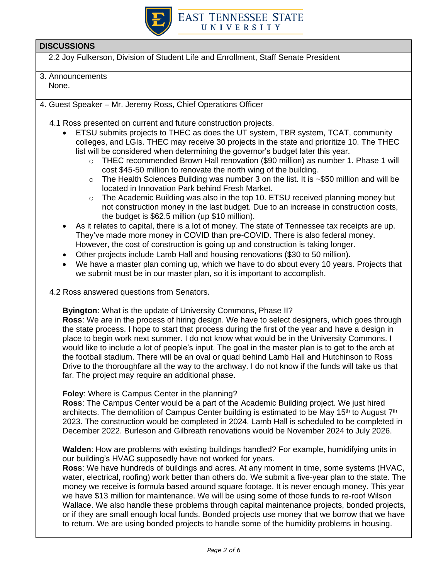

- 2.2 Joy Fulkerson, Division of Student Life and Enrollment, Staff Senate President
- 3. Announcements None.
- 4. Guest Speaker Mr. Jeremy Ross, Chief Operations Officer
	- 4.1 Ross presented on current and future construction projects.
		- ETSU submits projects to THEC as does the UT system, TBR system, TCAT, community colleges, and LGIs. THEC may receive 30 projects in the state and prioritize 10. The THEC list will be considered when determining the governor's budget later this year.
			- o THEC recommended Brown Hall renovation (\$90 million) as number 1. Phase 1 will cost \$45-50 million to renovate the north wing of the building.
			- o The Health Sciences Building was number 3 on the list. It is ~\$50 million and will be located in Innovation Park behind Fresh Market.
			- $\circ$  The Academic Building was also in the top 10. ETSU received planning money but not construction money in the last budget. Due to an increase in construction costs, the budget is \$62.5 million (up \$10 million).
		- As it relates to capital, there is a lot of money. The state of Tennessee tax receipts are up. They've made more money in COVID than pre-COVID. There is also federal money. However, the cost of construction is going up and construction is taking longer.
		- Other projects include Lamb Hall and housing renovations (\$30 to 50 million).
		- We have a master plan coming up, which we have to do about every 10 years. Projects that we submit must be in our master plan, so it is important to accomplish.
	- 4.2 Ross answered questions from Senators.

**Byington**: What is the update of University Commons, Phase II?

**Ross**: We are in the process of hiring design. We have to select designers, which goes through the state process. I hope to start that process during the first of the year and have a design in place to begin work next summer. I do not know what would be in the University Commons. I would like to include a lot of people's input. The goal in the master plan is to get to the arch at the football stadium. There will be an oval or quad behind Lamb Hall and Hutchinson to Ross Drive to the thoroughfare all the way to the archway. I do not know if the funds will take us that far. The project may require an additional phase.

#### **Foley**: Where is Campus Center in the planning?

**Ross**: The Campus Center would be a part of the Academic Building project. We just hired architects. The demolition of Campus Center building is estimated to be May 15<sup>th</sup> to August  $7<sup>th</sup>$ 2023. The construction would be completed in 2024. Lamb Hall is scheduled to be completed in December 2022. Burleson and Gilbreath renovations would be November 2024 to July 2026.

**Walden**: How are problems with existing buildings handled? For example, humidifying units in our building's HVAC supposedly have not worked for years.

**Ross**: We have hundreds of buildings and acres. At any moment in time, some systems (HVAC, water, electrical, roofing) work better than others do. We submit a five-year plan to the state. The money we receive is formula based around square footage. It is never enough money. This year we have \$13 million for maintenance. We will be using some of those funds to re-roof Wilson Wallace. We also handle these problems through capital maintenance projects, bonded projects, or if they are small enough local funds. Bonded projects use money that we borrow that we have to return. We are using bonded projects to handle some of the humidity problems in housing.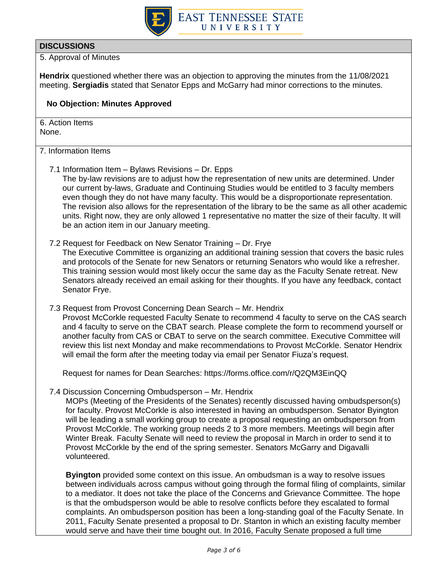

5. Approval of Minutes

**Hendrix** questioned whether there was an objection to approving the minutes from the 11/08/2021 meeting. **Sergiadis** stated that Senator Epps and McGarry had minor corrections to the minutes.

## **No Objection: Minutes Approved**

6. Action Items None.

7. Information Items

7.1 Information Item – Bylaws Revisions – Dr. Epps

The by-law revisions are to adjust how the representation of new units are determined. Under our current by-laws, Graduate and Continuing Studies would be entitled to 3 faculty members even though they do not have many faculty. This would be a disproportionate representation. The revision also allows for the representation of the library to be the same as all other academic units. Right now, they are only allowed 1 representative no matter the size of their faculty. It will be an action item in our January meeting.

#### 7.2 Request for Feedback on New Senator Training – Dr. Frye

The Executive Committee is organizing an additional training session that covers the basic rules and protocols of the Senate for new Senators or returning Senators who would like a refresher. This training session would most likely occur the same day as the Faculty Senate retreat. New Senators already received an email asking for their thoughts. If you have any feedback, contact Senator Frye.

7.3 Request from Provost Concerning Dean Search – Mr. Hendrix

Provost McCorkle requested Faculty Senate to recommend 4 faculty to serve on the CAS search and 4 faculty to serve on the CBAT search. Please complete the form to recommend yourself or another faculty from CAS or CBAT to serve on the search committee. Executive Committee will review this list next Monday and make recommendations to Provost McCorkle. Senator Hendrix will email the form after the meeting today via email per Senator Fiuza's request.

Request for names for Dean Searches: https://forms.office.com/r/Q2QM3EinQQ

7.4 Discussion Concerning Ombudsperson – Mr. Hendrix

MOPs (Meeting of the Presidents of the Senates) recently discussed having ombudsperson(s) for faculty. Provost McCorkle is also interested in having an ombudsperson. Senator Byington will be leading a small working group to create a proposal requesting an ombudsperson from Provost McCorkle. The working group needs 2 to 3 more members. Meetings will begin after Winter Break. Faculty Senate will need to review the proposal in March in order to send it to Provost McCorkle by the end of the spring semester. Senators McGarry and Digavalli volunteered.

**Byington** provided some context on this issue. An ombudsman is a way to resolve issues between individuals across campus without going through the formal filing of complaints, similar to a mediator. It does not take the place of the Concerns and Grievance Committee. The hope is that the ombudsperson would be able to resolve conflicts before they escalated to formal complaints. An ombudsperson position has been a long-standing goal of the Faculty Senate. In 2011, Faculty Senate presented a proposal to Dr. Stanton in which an existing faculty member would serve and have their time bought out. In 2016, Faculty Senate proposed a full time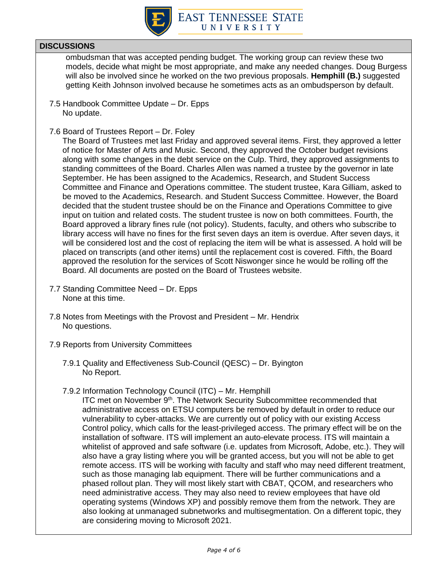

ombudsman that was accepted pending budget. The working group can review these two models, decide what might be most appropriate, and make any needed changes. Doug Burgess will also be involved since he worked on the two previous proposals. **Hemphill (B.)** suggested getting Keith Johnson involved because he sometimes acts as an ombudsperson by default.

- 7.5 Handbook Committee Update Dr. Epps No update.
- 7.6 Board of Trustees Report Dr. Foley

The Board of Trustees met last Friday and approved several items. First, they approved a letter of notice for Master of Arts and Music. Second, they approved the October budget revisions along with some changes in the debt service on the Culp. Third, they approved assignments to standing committees of the Board. Charles Allen was named a trustee by the governor in late September. He has been assigned to the Academics, Research, and Student Success Committee and Finance and Operations committee. The student trustee, Kara Gilliam, asked to be moved to the Academics, Research. and Student Success Committee. However, the Board decided that the student trustee should be on the Finance and Operations Committee to give input on tuition and related costs. The student trustee is now on both committees. Fourth, the Board approved a library fines rule (not policy). Students, faculty, and others who subscribe to library access will have no fines for the first seven days an item is overdue. After seven days, it will be considered lost and the cost of replacing the item will be what is assessed. A hold will be placed on transcripts (and other items) until the replacement cost is covered. Fifth, the Board approved the resolution for the services of Scott Niswonger since he would be rolling off the Board. All documents are posted on the Board of Trustees website.

- 7.7 Standing Committee Need Dr. Epps None at this time.
- 7.8 Notes from Meetings with the Provost and President Mr. Hendrix No questions.
- 7.9 Reports from University Committees
	- 7.9.1 Quality and Effectiveness Sub-Council (QESC) Dr. Byington No Report.
	- 7.9.2 Information Technology Council (ITC) Mr. Hemphill

ITC met on November 9th. The Network Security Subcommittee recommended that administrative access on ETSU computers be removed by default in order to reduce our vulnerability to cyber-attacks. We are currently out of policy with our existing Access Control policy, which calls for the least-privileged access. The primary effect will be on the installation of software. ITS will implement an auto-elevate process. ITS will maintain a whitelist of approved and safe software (i.e. updates from Microsoft, Adobe, etc.). They will also have a gray listing where you will be granted access, but you will not be able to get remote access. ITS will be working with faculty and staff who may need different treatment, such as those managing lab equipment. There will be further communications and a phased rollout plan. They will most likely start with CBAT, QCOM, and researchers who need administrative access. They may also need to review employees that have old operating systems (Windows XP) and possibly remove them from the network. They are also looking at unmanaged subnetworks and multisegmentation. On a different topic, they are considering moving to Microsoft 2021.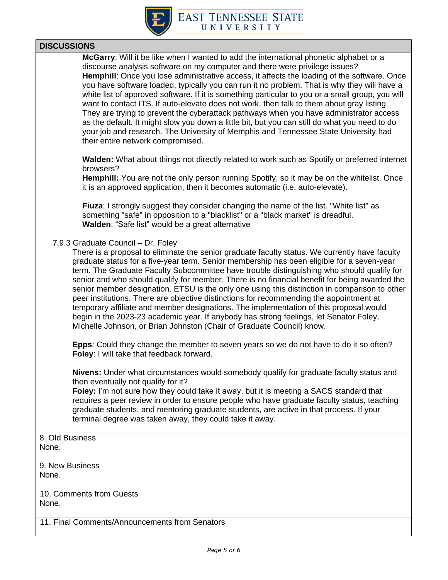

**McGarry**: Will it be like when I wanted to add the international phonetic alphabet or a discourse analysis software on my computer and there were privilege issues? **Hemphill**: Once you lose administrative access, it affects the loading of the software. Once you have software loaded, typically you can run it no problem. That is why they will have a white list of approved software. If it is something particular to you or a small group, you will want to contact ITS. If auto-elevate does not work, then talk to them about gray listing. They are trying to prevent the cyberattack pathways when you have administrator access as the default. It might slow you down a little bit, but you can still do what you need to do your job and research. The University of Memphis and Tennessee State University had their entire network compromised.

**Walden:** What about things not directly related to work such as Spotify or preferred internet browsers?

**Hemphill:** You are not the only person running Spotify, so it may be on the whitelist. Once it is an approved application, then it becomes automatic (i.e. auto-elevate).

**Fiuza**: I strongly suggest they consider changing the name of the list. "White list" as something "safe" in opposition to a "blacklist" or a "black market" is dreadful. **Walden**: "Safe list" would be a great alternative

#### 7.9.3 Graduate Council – Dr. Foley

There is a proposal to eliminate the senior graduate faculty status. We currently have faculty graduate status for a five-year term. Senior membership has been eligible for a seven-year term. The Graduate Faculty Subcommittee have trouble distinguishing who should qualify for senior and who should qualify for member. There is no financial benefit for being awarded the senior member designation. ETSU is the only one using this distinction in comparison to other peer institutions. There are objective distinctions for recommending the appointment at temporary affiliate and member designations. The implementation of this proposal would begin in the 2023-23 academic year. If anybody has strong feelings, let Senator Foley, Michelle Johnson, or Brian Johnston (Chair of Graduate Council) know.

**Epps**: Could they change the member to seven years so we do not have to do it so often? **Foley**: I will take that feedback forward.

**Nivens:** Under what circumstances would somebody qualify for graduate faculty status and then eventually not qualify for it?

**Foley:** I'm not sure how they could take it away, but it is meeting a SACS standard that requires a peer review in order to ensure people who have graduate faculty status, teaching graduate students, and mentoring graduate students, are active in that process. If your terminal degree was taken away, they could take it away.

8. Old Business None.

9. New Business None.

10. Comments from Guests None.

11. Final Comments/Announcements from Senators